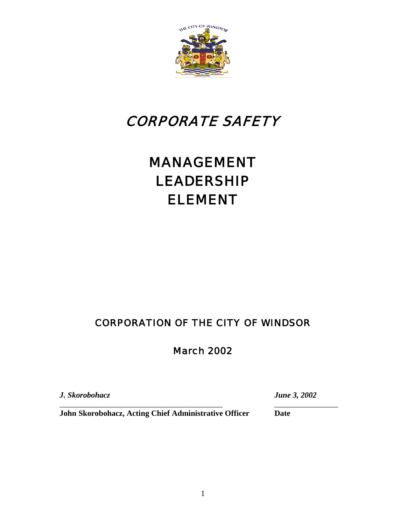

## CORPORATE SAFETY

## MANAGEMENT LEADERSHIP ELEMENT

## CORPORATION OF THE CITY OF WINDSOR

## March 2002

\_\_\_\_\_\_\_\_\_\_\_\_\_\_\_\_\_\_\_\_\_\_\_\_\_\_\_\_\_\_\_\_\_\_\_\_\_\_\_\_\_ \_\_\_\_\_\_\_\_\_\_\_\_\_\_\_\_

*J. Skorobohacz June 3, 2002*

**John Skorobohacz, Acting Chief Administrative Officer Date**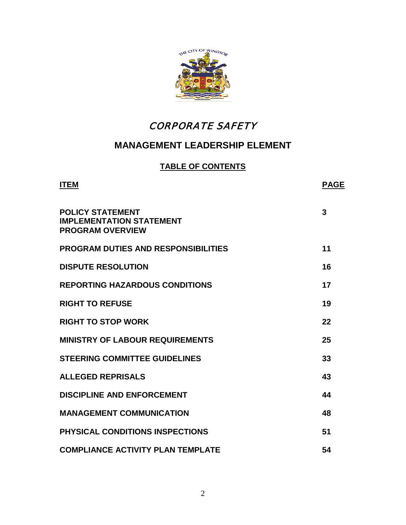

## CORPORATE SAFETY

## **MANAGEMENT LEADERSHIP ELEMENT**

## **TABLE OF CONTENTS**

| <b>ITEM</b>                                                                           | <b>PAGE</b> |
|---------------------------------------------------------------------------------------|-------------|
| <b>POLICY STATEMENT</b><br><b>IMPLEMENTATION STATEMENT</b><br><b>PROGRAM OVERVIEW</b> | 3           |
| PROGRAM DUTIES AND RESPONSIBILITIES                                                   | 11          |
| <b>DISPUTE RESOLUTION</b>                                                             | 16          |
| <b>REPORTING HAZARDOUS CONDITIONS</b>                                                 | 17          |
| <b>RIGHT TO REFUSE</b>                                                                | 19          |
| <b>RIGHT TO STOP WORK</b>                                                             | 22          |
| <b>MINISTRY OF LABOUR REQUIREMENTS</b>                                                | 25          |
| <b>STEERING COMMITTEE GUIDELINES</b>                                                  | 33          |
| <b>ALLEGED REPRISALS</b>                                                              | 43          |
| <b>DISCIPLINE AND ENFORCEMENT</b>                                                     | 44          |
| <b>MANAGEMENT COMMUNICATION</b>                                                       | 48          |
| <b>PHYSICAL CONDITIONS INSPECTIONS</b>                                                | 51          |
| <b>COMPLIANCE ACTIVITY PLAN TEMPLATE</b>                                              | 54          |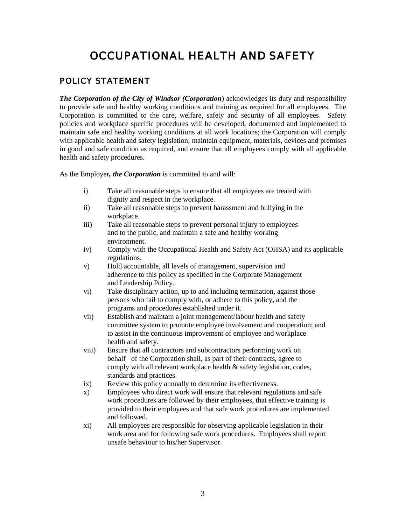## OCCUPATIONAL HEALTH AND SAFETY

## POLICY STATEMENT

*The Corporation of the City of Windsor (Corporation*) acknowledges its duty and responsibility to provide safe and healthy working conditions and training as required for all employees. The Corporation is committed to the care, welfare, safety and security of all employees. Safety policies and workplace specific procedures will be developed, documented and implemented to maintain safe and healthy working conditions at all work locations; the Corporation will comply with applicable health and safety legislation; maintain equipment, materials, devices and premises in good and safe condition as required, and ensure that all employees comply with all applicable health and safety procedures.

As the Employer*, the Corporation* is committed to and will:

- i) Take all reasonable steps to ensure that all employees are treated with dignity and respect in the workplace.
- ii) Take all reasonable steps to prevent harassment and bullying in the workplace.
- iii) Take all reasonable steps to prevent personal injury to employees and to the public, and maintain a safe and healthy working environment.
- iv) Comply with the Occupational Health and Safety Act (OHSA) and its applicable regulations.
- v) Hold accountable, all levels of management, supervision and adherence to this policy as specified in the Corporate Management and Leadership Policy.
- vi) Take disciplinary action, up to and including termination, against those persons who fail to comply with, or adhere to this policy**,** and the programs and procedures established under it.
- vii) Establish and maintain a joint management/labour health and safety committee system to promote employee involvement and cooperation; and to assist in the continuous improvement of employee and workplace health and safety.
- viii) Ensure that all contractors and subcontractors performing work on behalf of the Corporation shall, as part of their contracts, agree to comply with all relevant workplace health & safety legislation, codes, standards and practices.
- ix) Review this policy annually to determine its effectiveness.
- x) Employees who direct work will ensure that relevant regulations and safe work procedures are followed by their employees, that effective training is provided to their employees and that safe work procedures are implemented and followed.
- xi) All employees are responsible for observing applicable legislation in their work area and for following safe work procedures. Employees shall report unsafe behaviour to his/her Supervisor.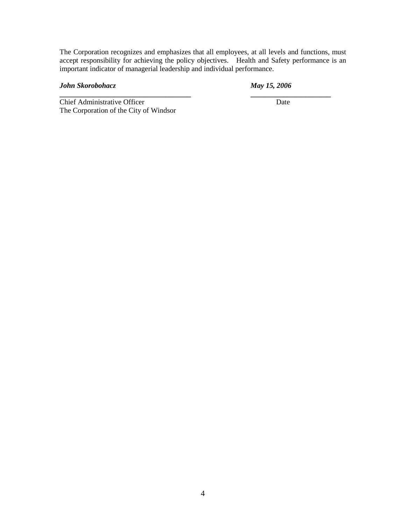The Corporation recognizes and emphasizes that all employees, at all levels and functions, must accept responsibility for achieving the policy objectives. Health and Safety performance is an important indicator of managerial leadership and individual performance.

#### *John Skorobohacz May 15, 2006*

**\_\_\_\_\_\_\_\_\_\_\_\_\_\_\_\_\_\_\_\_\_\_\_\_\_\_\_\_\_\_\_\_\_\_\_\_ \_\_\_\_\_\_\_\_\_\_\_\_\_\_\_\_\_\_\_\_\_\_ Chief Administrative Officer Date** The Corporation of the City of Windsor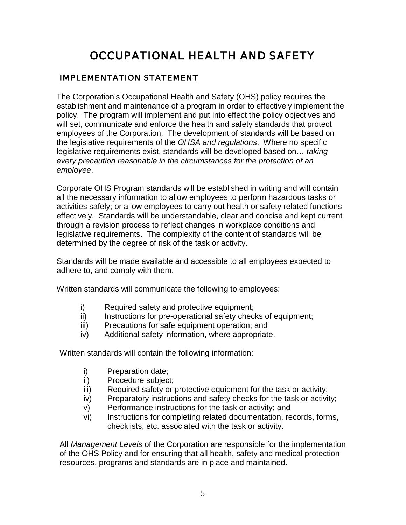## OCCUPATIONAL HEALTH AND SAFETY

## IMPLEMENTATION STATEMENT

The Corporation's Occupational Health and Safety (OHS) policy requires the establishment and maintenance of a program in order to effectively implement the policy. The program will implement and put into effect the policy objectives and will set, communicate and enforce the health and safety standards that protect employees of the Corporation. The development of standards will be based on the legislative requirements of the *OHSA and regulations*. Where no specific legislative requirements exist, standards will be developed based on… *taking every precaution reasonable in the circumstances for the protection of an employee*.

Corporate OHS Program standards will be established in writing and will contain all the necessary information to allow employees to perform hazardous tasks or activities safely; or allow employees to carry out health or safety related functions effectively. Standards will be understandable, clear and concise and kept current through a revision process to reflect changes in workplace conditions and legislative requirements. The complexity of the content of standards will be determined by the degree of risk of the task or activity.

Standards will be made available and accessible to all employees expected to adhere to, and comply with them.

Written standards will communicate the following to employees:

- i) Required safety and protective equipment;
- ii) Instructions for pre-operational safety checks of equipment;
- iii) Precautions for safe equipment operation; and
- iv) Additional safety information, where appropriate.

Written standards will contain the following information:

- i) Preparation date;
- ii) Procedure subject;
- iii) Required safety or protective equipment for the task or activity;
- iv) Preparatory instructions and safety checks for the task or activity;
- v) Performance instructions for the task or activity; and
- vi) Instructions for completing related documentation, records, forms, checklists, etc. associated with the task or activity.

All *Management Levels* of the Corporation are responsible for the implementation of the OHS Policy and for ensuring that all health, safety and medical protection resources, programs and standards are in place and maintained.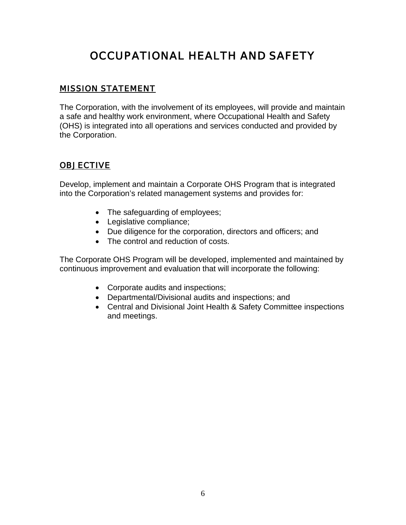## OCCUPATIONAL HEALTH AND SAFETY

## MISSION STATEMENT

The Corporation, with the involvement of its employees, will provide and maintain a safe and healthy work environment, where Occupational Health and Safety (OHS) is integrated into all operations and services conducted and provided by the Corporation.

## OBJECTIVE

Develop, implement and maintain a Corporate OHS Program that is integrated into the Corporation's related management systems and provides for:

- The safeguarding of employees;
- Legislative compliance;
- Due diligence for the corporation, directors and officers; and
- The control and reduction of costs.

The Corporate OHS Program will be developed, implemented and maintained by continuous improvement and evaluation that will incorporate the following:

- Corporate audits and inspections;
- Departmental/Divisional audits and inspections; and
- Central and Divisional Joint Health & Safety Committee inspections and meetings.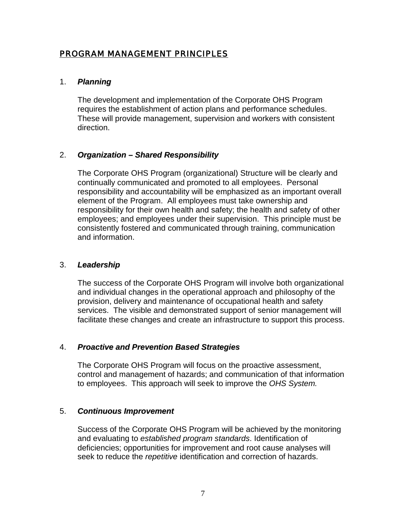## PROGRAM MANAGEMENT PRINCIPLES

#### 1. *Planning*

The development and implementation of the Corporate OHS Program requires the establishment of action plans and performance schedules. These will provide management, supervision and workers with consistent direction.

#### 2. *Organization – Shared Responsibility*

The Corporate OHS Program (organizational) Structure will be clearly and continually communicated and promoted to all employees. Personal responsibility and accountability will be emphasized as an important overall element of the Program. All employees must take ownership and responsibility for their own health and safety; the health and safety of other employees; and employees under their supervision. This principle must be consistently fostered and communicated through training, communication and information.

#### 3. *Leadership*

The success of the Corporate OHS Program will involve both organizational and individual changes in the operational approach and philosophy of the provision, delivery and maintenance of occupational health and safety services. The visible and demonstrated support of senior management will facilitate these changes and create an infrastructure to support this process.

#### 4. *Proactive and Prevention Based Strategies*

The Corporate OHS Program will focus on the proactive assessment, control and management of hazards; and communication of that information to employees. This approach will seek to improve the *OHS System.*

#### 5. *Continuous Improvement*

Success of the Corporate OHS Program will be achieved by the monitoring and evaluating to *established program standards*. Identification of deficiencies; opportunities for improvement and root cause analyses will seek to reduce the *repetitive* identification and correction of hazards.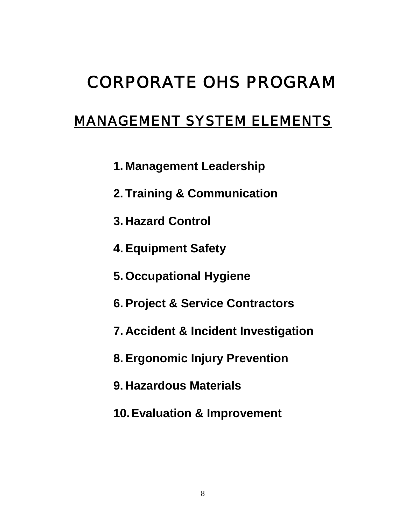## CORPORATE OHS PROGRAM

## MANAGEMENT SYSTEM ELEMENTS

- **1. Management Leadership**
- **2. Training & Communication**
- **3. Hazard Control**
- **4. Equipment Safety**
- **5. Occupational Hygiene**
- **6. Project & Service Contractors**
- **7. Accident & Incident Investigation**
- **8. Ergonomic Injury Prevention**
- **9. Hazardous Materials**
- **10.Evaluation & Improvement**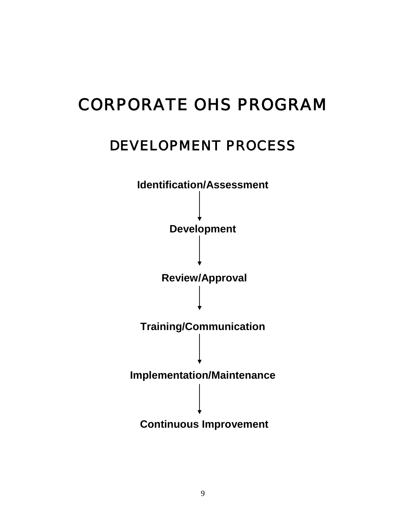# CORPORATE OHS PROGRAM

## DEVELOPMENT PROCESS

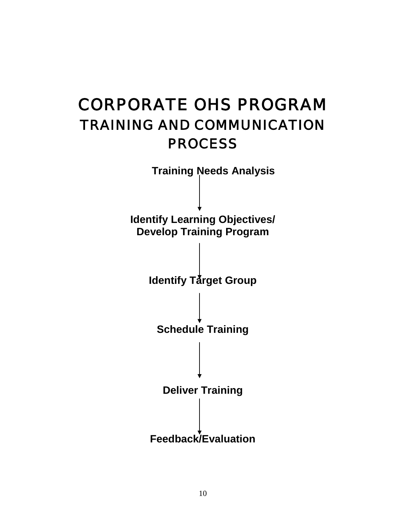# CORPORATE OHS PROGRAM TRAINING AND COMMUNICATION PROCESS

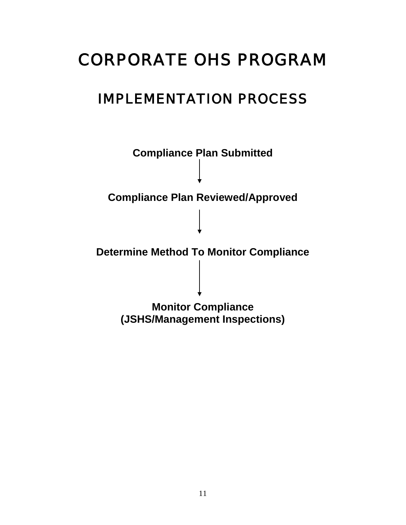# CORPORATE OHS PROGRAM

## IMPLEMENTATION PROCESS

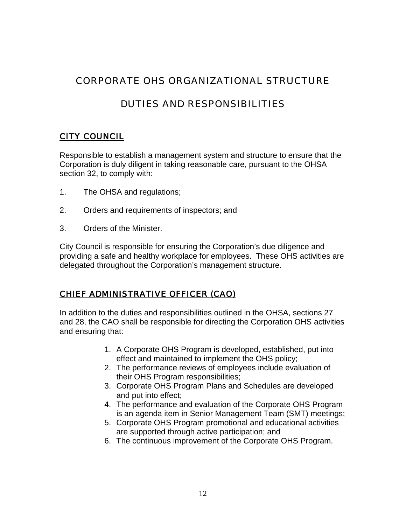## CORPORATE OHS ORGANIZATIONAL STRUCTURE

## DUTIES AND RESPONSIBILITIES

## CITY COUNCIL

Responsible to establish a management system and structure to ensure that the Corporation is duly diligent in taking reasonable care, pursuant to the OHSA section 32, to comply with:

- 1. The OHSA and regulations;
- 2. Orders and requirements of inspectors; and
- 3. Orders of the Minister.

City Council is responsible for ensuring the Corporation's due diligence and providing a safe and healthy workplace for employees. These OHS activities are delegated throughout the Corporation's management structure.

## CHIEF ADMINISTRATIVE OFFICER (CAO)

In addition to the duties and responsibilities outlined in the OHSA, sections 27 and 28, the CAO shall be responsible for directing the Corporation OHS activities and ensuring that:

- 1. A Corporate OHS Program is developed, established, put into effect and maintained to implement the OHS policy;
- 2. The performance reviews of employees include evaluation of their OHS Program responsibilities;
- 3. Corporate OHS Program Plans and Schedules are developed and put into effect;
- 4. The performance and evaluation of the Corporate OHS Program is an agenda item in Senior Management Team (SMT) meetings;
- 5. Corporate OHS Program promotional and educational activities are supported through active participation; and
- 6. The continuous improvement of the Corporate OHS Program.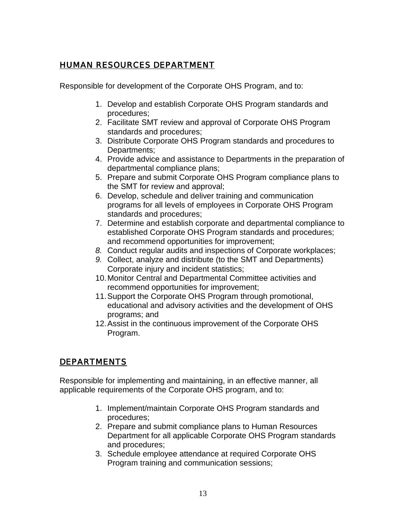## HUMAN RESOURCES DEPARTMENT

Responsible for development of the Corporate OHS Program, and to:

- 1. Develop and establish Corporate OHS Program standards and procedures;
- 2. Facilitate SMT review and approval of Corporate OHS Program standards and procedures;
- 3. Distribute Corporate OHS Program standards and procedures to Departments;
- 4. Provide advice and assistance to Departments in the preparation of departmental compliance plans;
- 5. Prepare and submit Corporate OHS Program compliance plans to the SMT for review and approval;
- 6. Develop, schedule and deliver training and communication programs for all levels of employees in Corporate OHS Program standards and procedures;
- 7. Determine and establish corporate and departmental compliance to established Corporate OHS Program standards and procedures; and recommend opportunities for improvement;
- *8.* Conduct regular audits and inspections of Corporate workplaces;
- *9.* Collect, analyze and distribute (to the SMT and Departments) Corporate injury and incident statistics;
- 10.Monitor Central and Departmental Committee activities and recommend opportunities for improvement;
- 11.Support the Corporate OHS Program through promotional, educational and advisory activities and the development of OHS programs; and
- 12.Assist in the continuous improvement of the Corporate OHS Program.

## DEPARTMENTS

Responsible for implementing and maintaining, in an effective manner, all applicable requirements of the Corporate OHS program, and to:

- 1. Implement/maintain Corporate OHS Program standards and procedures;
- 2. Prepare and submit compliance plans to Human Resources Department for all applicable Corporate OHS Program standards and procedures;
- 3. Schedule employee attendance at required Corporate OHS Program training and communication sessions;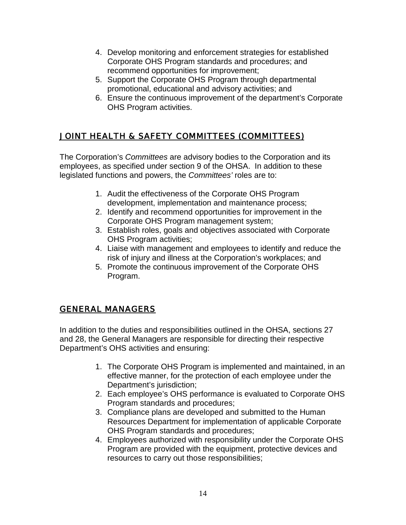- 4. Develop monitoring and enforcement strategies for established Corporate OHS Program standards and procedures; and recommend opportunities for improvement;
- 5. Support the Corporate OHS Program through departmental promotional, educational and advisory activities; and
- 6. Ensure the continuous improvement of the department's Corporate OHS Program activities.

## JOINT HEALTH & SAFETY COMMITTEES (COMMITTEES)

The Corporation's *Committees* are advisory bodies to the Corporation and its employees, as specified under section 9 of the OHSA. In addition to these legislated functions and powers, the *Committees'* roles are to:

- 1. Audit the effectiveness of the Corporate OHS Program development, implementation and maintenance process;
- 2. Identify and recommend opportunities for improvement in the Corporate OHS Program management system;
- 3. Establish roles, goals and objectives associated with Corporate OHS Program activities;
- 4. Liaise with management and employees to identify and reduce the risk of injury and illness at the Corporation's workplaces; and
- 5. Promote the continuous improvement of the Corporate OHS Program.

## GENERAL MANAGERS

In addition to the duties and responsibilities outlined in the OHSA, sections 27 and 28, the General Managers are responsible for directing their respective Department's OHS activities and ensuring:

- 1. The Corporate OHS Program is implemented and maintained, in an effective manner, for the protection of each employee under the Department's jurisdiction;
- 2. Each employee's OHS performance is evaluated to Corporate OHS Program standards and procedures;
- 3. Compliance plans are developed and submitted to the Human Resources Department for implementation of applicable Corporate OHS Program standards and procedures;
- 4. Employees authorized with responsibility under the Corporate OHS Program are provided with the equipment, protective devices and resources to carry out those responsibilities;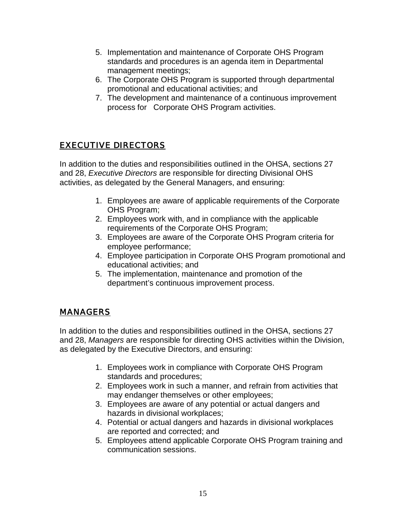- 5. Implementation and maintenance of Corporate OHS Program standards and procedures is an agenda item in Departmental management meetings;
- 6. The Corporate OHS Program is supported through departmental promotional and educational activities; and
- 7. The development and maintenance of a continuous improvement process for Corporate OHS Program activities.

## EXECUTIVE DIRECTORS

In addition to the duties and responsibilities outlined in the OHSA, sections 27 and 28, *Executive Directors* are responsible for directing Divisional OHS activities, as delegated by the General Managers, and ensuring:

- 1. Employees are aware of applicable requirements of the Corporate OHS Program;
- 2. Employees work with, and in compliance with the applicable requirements of the Corporate OHS Program;
- 3. Employees are aware of the Corporate OHS Program criteria for employee performance;
- 4. Employee participation in Corporate OHS Program promotional and educational activities; and
- 5. The implementation, maintenance and promotion of the department's continuous improvement process.

## MANAGERS

In addition to the duties and responsibilities outlined in the OHSA, sections 27 and 28, *Managers* are responsible for directing OHS activities within the Division, as delegated by the Executive Directors, and ensuring:

- 1. Employees work in compliance with Corporate OHS Program standards and procedures;
- 2. Employees work in such a manner, and refrain from activities that may endanger themselves or other employees;
- 3. Employees are aware of any potential or actual dangers and hazards in divisional workplaces;
- 4. Potential or actual dangers and hazards in divisional workplaces are reported and corrected; and
- 5. Employees attend applicable Corporate OHS Program training and communication sessions.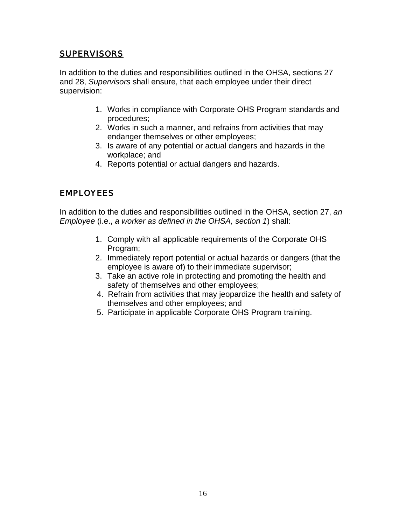## **SUPERVISORS**

In addition to the duties and responsibilities outlined in the OHSA, sections 27 and 28, *Supervisors* shall ensure, that each employee under their direct supervision:

- 1. Works in compliance with Corporate OHS Program standards and procedures;
- 2. Works in such a manner, and refrains from activities that may endanger themselves or other employees;
- 3. Is aware of any potential or actual dangers and hazards in the workplace; and
- 4. Reports potential or actual dangers and hazards.

## **EMPLOYEES**

In addition to the duties and responsibilities outlined in the OHSA, section 27, *an Employee* (i.e., *a worker as defined in the OHSA, section 1*) shall:

- 1. Comply with all applicable requirements of the Corporate OHS Program;
- 2. Immediately report potential or actual hazards or dangers (that the employee is aware of) to their immediate supervisor;
- 3. Take an active role in protecting and promoting the health and safety of themselves and other employees;
- 4. Refrain from activities that may jeopardize the health and safety of themselves and other employees; and
- 5. Participate in applicable Corporate OHS Program training.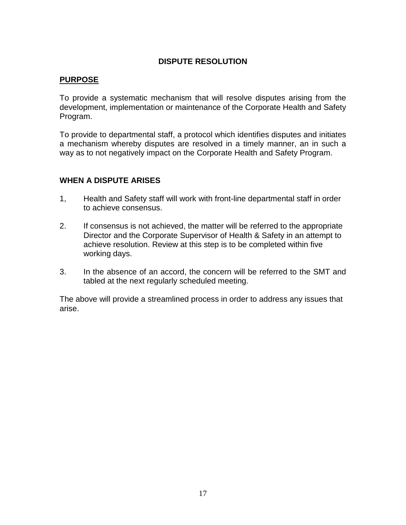## **DISPUTE RESOLUTION**

### **PURPOSE**

To provide a systematic mechanism that will resolve disputes arising from the development, implementation or maintenance of the Corporate Health and Safety Program.

To provide to departmental staff, a protocol which identifies disputes and initiates a mechanism whereby disputes are resolved in a timely manner, an in such a way as to not negatively impact on the Corporate Health and Safety Program.

### **WHEN A DISPUTE ARISES**

- 1, Health and Safety staff will work with front-line departmental staff in order to achieve consensus.
- 2. If consensus is not achieved, the matter will be referred to the appropriate Director and the Corporate Supervisor of Health & Safety in an attempt to achieve resolution. Review at this step is to be completed within five working days.
- 3. In the absence of an accord, the concern will be referred to the SMT and tabled at the next regularly scheduled meeting.

The above will provide a streamlined process in order to address any issues that arise.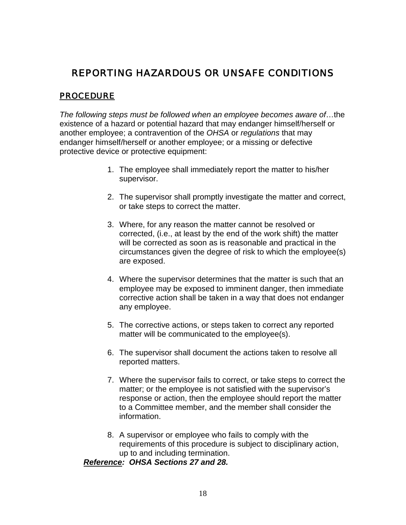## REPORTING HAZARDOUS OR UNSAFE CONDITIONS

## PROCEDURE

*The following steps must be followed when an employee becomes aware of*…the existence of a hazard or potential hazard that may endanger himself/herself or another employee; a contravention of the *OHSA* or *regulations* that may endanger himself/herself or another employee; or a missing or defective protective device or protective equipment:

- 1. The employee shall immediately report the matter to his/her supervisor.
- 2. The supervisor shall promptly investigate the matter and correct, or take steps to correct the matter.
- 3. Where, for any reason the matter cannot be resolved or corrected, (i.e., at least by the end of the work shift) the matter will be corrected as soon as is reasonable and practical in the circumstances given the degree of risk to which the employee(s) are exposed.
- 4. Where the supervisor determines that the matter is such that an employee may be exposed to imminent danger, then immediate corrective action shall be taken in a way that does not endanger any employee.
- 5. The corrective actions, or steps taken to correct any reported matter will be communicated to the employee(s).
- 6. The supervisor shall document the actions taken to resolve all reported matters.
- 7. Where the supervisor fails to correct, or take steps to correct the matter; or the employee is not satisfied with the supervisor's response or action, then the employee should report the matter to a Committee member, and the member shall consider the information.
- 8. A supervisor or employee who fails to comply with the requirements of this procedure is subject to disciplinary action, up to and including termination.

*Reference:**OHSA Sections 27 and 28.*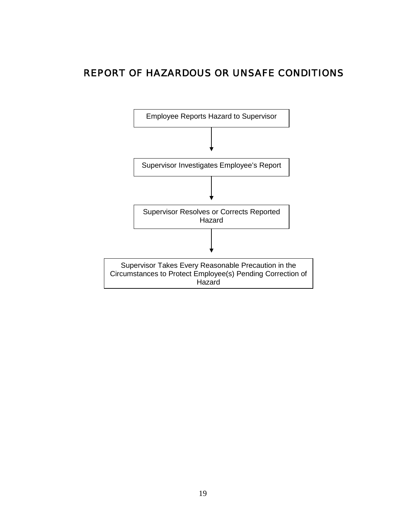## REPORT OF HAZARDOUS OR UNSAFE CONDITIONS

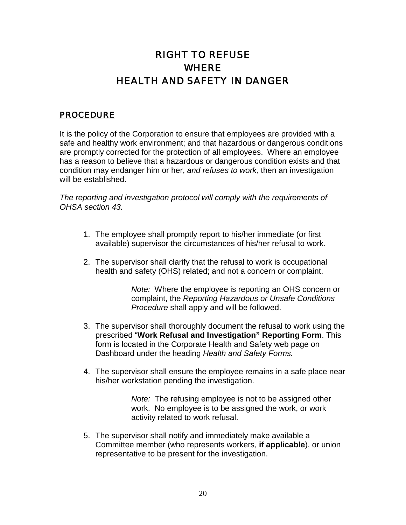## RIGHT TO REFUSE **WHERE** HEALTH AND SAFETY IN DANGER

## PROCEDURE

It is the policy of the Corporation to ensure that employees are provided with a safe and healthy work environment; and that hazardous or dangerous conditions are promptly corrected for the protection of all employees. Where an employee has a reason to believe that a hazardous or dangerous condition exists and that condition may endanger him or her, *and refuses to work,* then an investigation will be established.

*The reporting and investigation protocol will comply with the requirements of OHSA section 43.*

- 1. The employee shall promptly report to his/her immediate (or first available) supervisor the circumstances of his/her refusal to work.
- 2. The supervisor shall clarify that the refusal to work is occupational health and safety (OHS) related; and not a concern or complaint.

*Note:* Where the employee is reporting an OHS concern or complaint, the *Reporting Hazardous or Unsafe Conditions Procedure* shall apply and will be followed.

- 3. The supervisor shall thoroughly document the refusal to work using the prescribed "**Work Refusal and Investigation" Reporting Form**. This form is located in the Corporate Health and Safety web page on Dashboard under the heading *Health and Safety Forms.*
- 4. The supervisor shall ensure the employee remains in a safe place near his/her workstation pending the investigation.

*Note:* The refusing employee is not to be assigned other work. No employee is to be assigned the work, or work activity related to work refusal.

5. The supervisor shall notify and immediately make available a Committee member (who represents workers, **if applicable**), or union representative to be present for the investigation.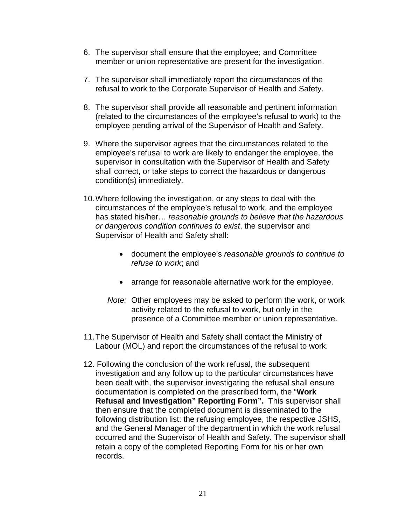- 6. The supervisor shall ensure that the employee; and Committee member or union representative are present for the investigation.
- 7. The supervisor shall immediately report the circumstances of the refusal to work to the Corporate Supervisor of Health and Safety.
- 8. The supervisor shall provide all reasonable and pertinent information (related to the circumstances of the employee's refusal to work) to the employee pending arrival of the Supervisor of Health and Safety.
- 9. Where the supervisor agrees that the circumstances related to the employee's refusal to work are likely to endanger the employee, the supervisor in consultation with the Supervisor of Health and Safety shall correct, or take steps to correct the hazardous or dangerous condition(s) immediately.
- 10.Where following the investigation, or any steps to deal with the circumstances of the employee's refusal to work, and the employee has stated his/her… *reasonable grounds to believe that the hazardous or dangerous condition continues to exist*, the supervisor and Supervisor of Health and Safety shall:
	- document the employee's *reasonable grounds to continue to refuse to work*; and
	- arrange for reasonable alternative work for the employee.
	- *Note:* Other employees may be asked to perform the work, or work activity related to the refusal to work, but only in the presence of a Committee member or union representative.
- 11.The Supervisor of Health and Safety shall contact the Ministry of Labour (MOL) and report the circumstances of the refusal to work.
- 12. Following the conclusion of the work refusal, the subsequent investigation and any follow up to the particular circumstances have been dealt with, the supervisor investigating the refusal shall ensure documentation is completed on the prescribed form, the "**Work Refusal and Investigation" Reporting Form".** This supervisor shall then ensure that the completed document is disseminated to the following distribution list: the refusing employee, the respective JSHS, and the General Manager of the department in which the work refusal occurred and the Supervisor of Health and Safety. The supervisor shall retain a copy of the completed Reporting Form for his or her own records.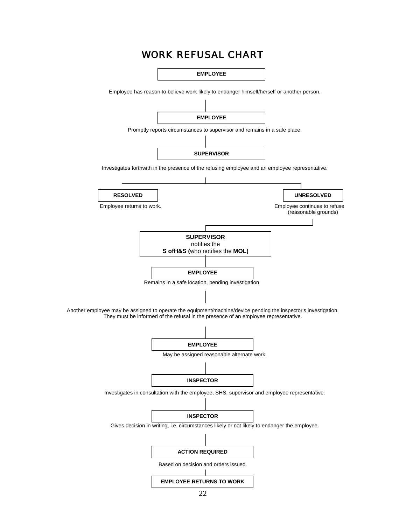## WORK REFUSAL CHART

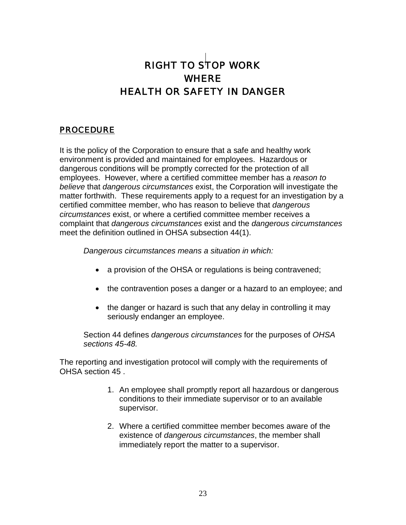## RIGHT TO STOP WORK **WHERE** HEALTH OR SAFETY IN DANGER

## PROCEDURE

It is the policy of the Corporation to ensure that a safe and healthy work environment is provided and maintained for employees. Hazardous or dangerous conditions will be promptly corrected for the protection of all employees. However, where a certified committee member has a *reason to believe* that *dangerous circumstances* exist, the Corporation will investigate the matter forthwith. These requirements apply to a request for an investigation by a certified committee member, who has reason to believe that *dangerous circumstances* exist, or where a certified committee member receives a complaint that *dangerous circumstances* exist and the *dangerous circumstances* meet the definition outlined in OHSA subsection 44(1).

*Dangerous circumstances means a situation in which:*

- a provision of the OHSA or regulations is being contravened;
- the contravention poses a danger or a hazard to an employee; and
- the danger or hazard is such that any delay in controlling it may seriously endanger an employee.

Section 44 defines *dangerous circumstances* for the purposes of *OHSA sections 45-48.*

The reporting and investigation protocol will comply with the requirements of OHSA section 45 .

- 1. An employee shall promptly report all hazardous or dangerous conditions to their immediate supervisor or to an available supervisor.
- 2. Where a certified committee member becomes aware of the existence of *dangerous circumstances*, the member shall immediately report the matter to a supervisor.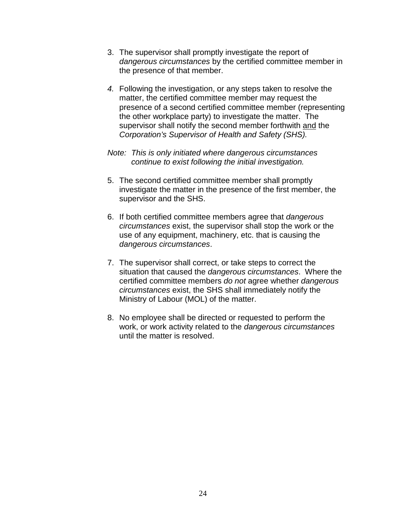- 3. The supervisor shall promptly investigate the report of *dangerous circumstances* by the certified committee member in the presence of that member.
- *4.* Following the investigation, or any steps taken to resolve the matter, the certified committee member may request the presence of a second certified committee member (representing the other workplace party) to investigate the matter. The supervisor shall notify the second member forthwith and the *Corporation's Supervisor of Health and Safety (SHS).*
- *Note: This is only initiated where dangerous circumstances continue to exist following the initial investigation.*
- 5. The second certified committee member shall promptly investigate the matter in the presence of the first member, the supervisor and the SHS.
- 6. If both certified committee members agree that *dangerous circumstances* exist, the supervisor shall stop the work or the use of any equipment, machinery, etc. that is causing the *dangerous circumstances*.
- 7. The supervisor shall correct, or take steps to correct the situation that caused the *dangerous circumstances*. Where the certified committee members *do not* agree whether *dangerous circumstances* exist, the SHS shall immediately notify the Ministry of Labour (MOL) of the matter.
- 8. No employee shall be directed or requested to perform the work, or work activity related to the *dangerous circumstances*  until the matter is resolved.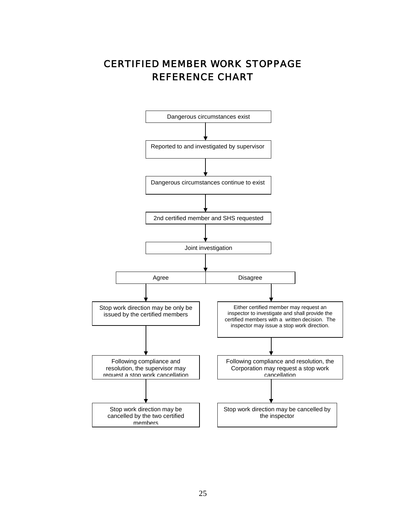## CERTIFIED MEMBER WORK STOPPAGE REFERENCE CHART

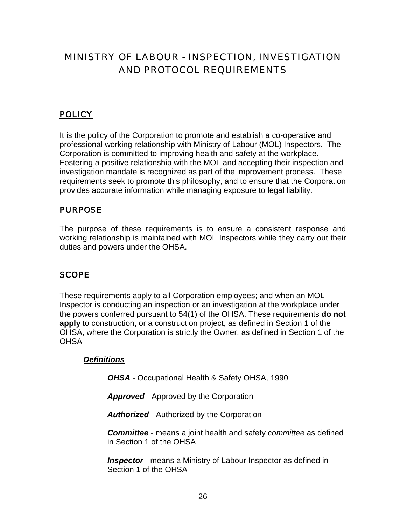## MINISTRY OF LABOUR - INSPECTION, INVESTIGATION AND PROTOCOL REQUIREMENTS

## **POLICY**

It is the policy of the Corporation to promote and establish a co-operative and professional working relationship with Ministry of Labour (MOL) Inspectors. The Corporation is committed to improving health and safety at the workplace. Fostering a positive relationship with the MOL and accepting their inspection and investigation mandate is recognized as part of the improvement process. These requirements seek to promote this philosophy, and to ensure that the Corporation provides accurate information while managing exposure to legal liability.

## PURPOSE

The purpose of these requirements is to ensure a consistent response and working relationship is maintained with MOL Inspectors while they carry out their duties and powers under the OHSA.

## **SCOPE**

These requirements apply to all Corporation employees; and when an MOL Inspector is conducting an inspection or an investigation at the workplace under the powers conferred pursuant to 54(1) of the OHSA. These requirements **do not apply** to construction, or a construction project, as defined in Section 1 of the OHSA, where the Corporation is strictly the Owner, as defined in Section 1 of the **OHSA** 

## *Definitions*

*OHSA* - Occupational Health & Safety OHSA, 1990

*Approved* - Approved by the Corporation

*Authorized* - Authorized by the Corporation

*Committee* - means a joint health and safety *committee* as defined in Section 1 of the OHSA

*Inspector* - means a Ministry of Labour Inspector as defined in Section 1 of the OHSA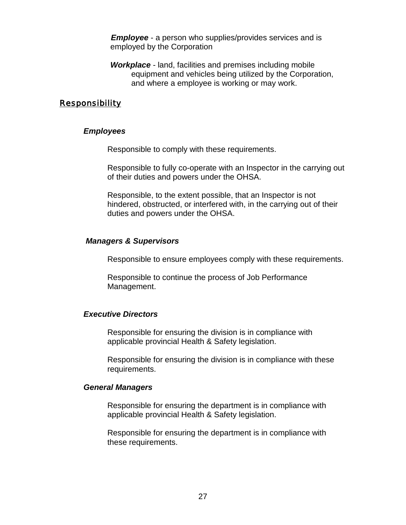*Employee* - a person who supplies/provides services and is employed by the Corporation

*Workplace* - land, facilities and premises including mobile equipment and vehicles being utilized by the Corporation, and where a employee is working or may work.

#### **Responsibility**

#### *Employees*

Responsible to comply with these requirements.

Responsible to fully co-operate with an Inspector in the carrying out of their duties and powers under the OHSA.

Responsible, to the extent possible, that an Inspector is not hindered, obstructed, or interfered with, in the carrying out of their duties and powers under the OHSA.

#### *Managers & Supervisors*

Responsible to ensure employees comply with these requirements.

Responsible to continue the process of Job Performance Management.

#### *Executive Directors*

Responsible for ensuring the division is in compliance with applicable provincial Health & Safety legislation.

Responsible for ensuring the division is in compliance with these requirements.

#### *General Managers*

Responsible for ensuring the department is in compliance with applicable provincial Health & Safety legislation.

Responsible for ensuring the department is in compliance with these requirements.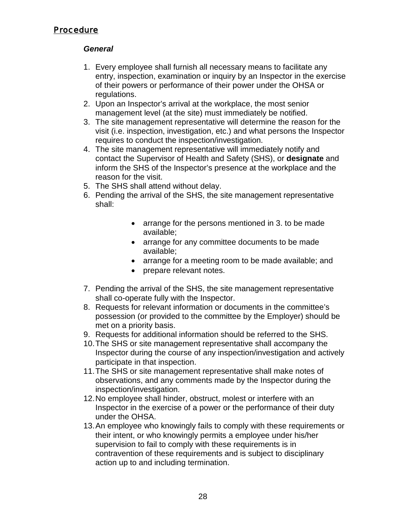## Procedure

## *General*

- 1. Every employee shall furnish all necessary means to facilitate any entry, inspection, examination or inquiry by an Inspector in the exercise of their powers or performance of their power under the OHSA or regulations.
- 2. Upon an Inspector's arrival at the workplace, the most senior management level (at the site) must immediately be notified.
- 3. The site management representative will determine the reason for the visit (i.e. inspection, investigation, etc.) and what persons the Inspector requires to conduct the inspection/investigation.
- 4. The site management representative will immediately notify and contact the Supervisor of Health and Safety (SHS), or **designate** and inform the SHS of the Inspector's presence at the workplace and the reason for the visit.
- 5. The SHS shall attend without delay.
- 6. Pending the arrival of the SHS, the site management representative shall:
	- arrange for the persons mentioned in 3. to be made available;
	- arrange for any committee documents to be made available;
	- arrange for a meeting room to be made available; and
	- prepare relevant notes.
- 7. Pending the arrival of the SHS, the site management representative shall co-operate fully with the Inspector.
- 8. Requests for relevant information or documents in the committee's possession (or provided to the committee by the Employer) should be met on a priority basis.
- 9. Requests for additional information should be referred to the SHS.
- 10.The SHS or site management representative shall accompany the Inspector during the course of any inspection/investigation and actively participate in that inspection.
- 11.The SHS or site management representative shall make notes of observations, and any comments made by the Inspector during the inspection/investigation.
- 12.No employee shall hinder, obstruct, molest or interfere with an Inspector in the exercise of a power or the performance of their duty under the OHSA.
- 13.An employee who knowingly fails to comply with these requirements or their intent, or who knowingly permits a employee under his/her supervision to fail to comply with these requirements is in contravention of these requirements and is subject to disciplinary action up to and including termination.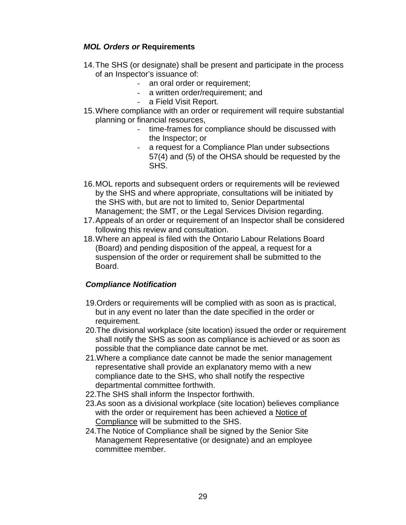### *MOL Orders or* **Requirements**

- 14.The SHS (or designate) shall be present and participate in the process of an Inspector's issuance of:
	- an oral order or requirement;
	- a written order/requirement; and
	- a Field Visit Report.
- 15.Where compliance with an order or requirement will require substantial planning or financial resources,
	- time-frames for compliance should be discussed with the Inspector; or
	- a request for a Compliance Plan under subsections 57(4) and (5) of the OHSA should be requested by the SHS.
- 16.MOL reports and subsequent orders or requirements will be reviewed by the SHS and where appropriate, consultations will be initiated by the SHS with, but are not to limited to, Senior Departmental Management; the SMT, or the Legal Services Division regarding.
- 17.Appeals of an order or requirement of an Inspector shall be considered following this review and consultation.
- 18.Where an appeal is filed with the Ontario Labour Relations Board (Board) and pending disposition of the appeal, a request for a suspension of the order or requirement shall be submitted to the Board.

## *Compliance Notification*

- 19.Orders or requirements will be complied with as soon as is practical, but in any event no later than the date specified in the order or requirement.
- 20.The divisional workplace (site location) issued the order or requirement shall notify the SHS as soon as compliance is achieved or as soon as possible that the compliance date cannot be met.
- 21.Where a compliance date cannot be made the senior management representative shall provide an explanatory memo with a new compliance date to the SHS, who shall notify the respective departmental committee forthwith.
- 22.The SHS shall inform the Inspector forthwith.
- 23.As soon as a divisional workplace (site location) believes compliance with the order or requirement has been achieved a Notice of Compliance will be submitted to the SHS.
- 24.The Notice of Compliance shall be signed by the Senior Site Management Representative (or designate) and an employee committee member.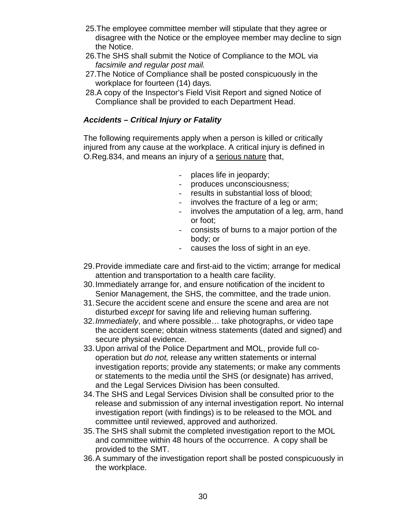- 25.The employee committee member will stipulate that they agree or disagree with the Notice or the employee member may decline to sign the Notice.
- 26.The SHS shall submit the Notice of Compliance to the MOL via *facsimile and regular post mail.*
- 27.The Notice of Compliance shall be posted conspicuously in the workplace for fourteen (14) days.
- 28.A copy of the Inspector's Field Visit Report and signed Notice of Compliance shall be provided to each Department Head.

## *Accidents – Critical Injury or Fatality*

 The following requirements apply when a person is killed or critically injured from any cause at the workplace. A critical injury is defined in O.Reg.834, and means an injury of a serious nature that,

- places life in jeopardy;
- produces unconsciousness;
- results in substantial loss of blood;
- involves the fracture of a leg or arm;
- involves the amputation of a leg, arm, hand or foot;
- consists of burns to a major portion of the body; or
- causes the loss of sight in an eye.
- 29.Provide immediate care and first-aid to the victim; arrange for medical attention and transportation to a health care facility.
- 30.Immediately arrange for, and ensure notification of the incident to Senior Management, the SHS, the committee, and the trade union.
- 31.Secure the accident scene and ensure the scene and area are not disturbed *except* for saving life and relieving human suffering.
- 32.*Immediately*, and where possible… take photographs, or video tape the accident scene; obtain witness statements (dated and signed) and secure physical evidence.
- 33.Upon arrival of the Police Department and MOL, provide full cooperation but *do not,* release any written statements or internal investigation reports; provide any statements; or make any comments or statements to the media until the SHS (or designate) has arrived, and the Legal Services Division has been consulted.
- 34.The SHS and Legal Services Division shall be consulted prior to the release and submission of any internal investigation report. No internal investigation report (with findings) is to be released to the MOL and committee until reviewed, approved and authorized.
- 35.The SHS shall submit the completed investigation report to the MOL and committee within 48 hours of the occurrence. A copy shall be provided to the SMT.
- 36.A summary of the investigation report shall be posted conspicuously in the workplace.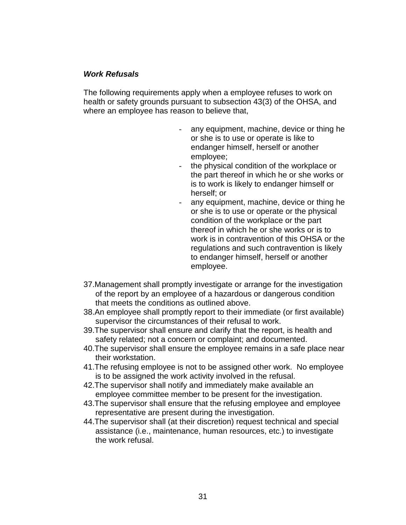#### *Work Refusals*

The following requirements apply when a employee refuses to work on health or safety grounds pursuant to subsection 43(3) of the OHSA, and where an employee has reason to believe that,

- any equipment, machine, device or thing he or she is to use or operate is like to endanger himself, herself or another employee;
- the physical condition of the workplace or the part thereof in which he or she works or is to work is likely to endanger himself or herself; or
- any equipment, machine, device or thing he or she is to use or operate or the physical condition of the workplace or the part thereof in which he or she works or is to work is in contravention of this OHSA or the regulations and such contravention is likely to endanger himself, herself or another employee.
- 37.Management shall promptly investigate or arrange for the investigation of the report by an employee of a hazardous or dangerous condition that meets the conditions as outlined above.
- 38.An employee shall promptly report to their immediate (or first available) supervisor the circumstances of their refusal to work.
- 39.The supervisor shall ensure and clarify that the report, is health and safety related; not a concern or complaint; and documented.
- 40.The supervisor shall ensure the employee remains in a safe place near their workstation.
- 41.The refusing employee is not to be assigned other work. No employee is to be assigned the work activity involved in the refusal.
- 42.The supervisor shall notify and immediately make available an employee committee member to be present for the investigation.
- 43.The supervisor shall ensure that the refusing employee and employee representative are present during the investigation.
- 44.The supervisor shall (at their discretion) request technical and special assistance (i.e., maintenance, human resources, etc.) to investigate the work refusal.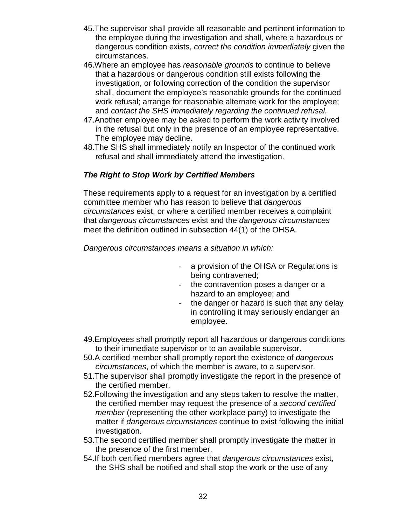- 45.The supervisor shall provide all reasonable and pertinent information to the employee during the investigation and shall, where a hazardous or dangerous condition exists, *correct the condition immediately* given the circumstances.
- 46.Where an employee has *reasonable grounds* to continue to believe that a hazardous or dangerous condition still exists following the investigation, or following correction of the condition the supervisor shall, document the employee's reasonable grounds for the continued work refusal; arrange for reasonable alternate work for the employee; and *contact the SHS immediately regarding the continued refusal.*
- 47.Another employee may be asked to perform the work activity involved in the refusal but only in the presence of an employee representative. The employee may decline.
- 48.The SHS shall immediately notify an Inspector of the continued work refusal and shall immediately attend the investigation.

## *The Right to Stop Work by Certified Members*

These requirements apply to a request for an investigation by a certified committee member who has reason to believe that *dangerous circumstances* exist, or where a certified member receives a complaint that *dangerous circumstances* exist and the *dangerous circumstances* meet the definition outlined in subsection 44(1) of the OHSA.

*Dangerous circumstances means a situation in which:*

- a provision of the OHSA or Regulations is being contravened;
- the contravention poses a danger or a hazard to an employee; and
- the danger or hazard is such that any delay in controlling it may seriously endanger an employee.
- 49.Employees shall promptly report all hazardous or dangerous conditions to their immediate supervisor or to an available supervisor.
- 50.A certified member shall promptly report the existence of *dangerous circumstances*, of which the member is aware, to a supervisor.
- 51.The supervisor shall promptly investigate the report in the presence of the certified member.
- 52.Following the investigation and any steps taken to resolve the matter, the certified member may request the presence of a *second certified member* (representing the other workplace party) to investigate the matter if *dangerous circumstances* continue to exist following the initial investigation.
- 53.The second certified member shall promptly investigate the matter in the presence of the first member.
- 54.If both certified members agree that *dangerous circumstances* exist, the SHS shall be notified and shall stop the work or the use of any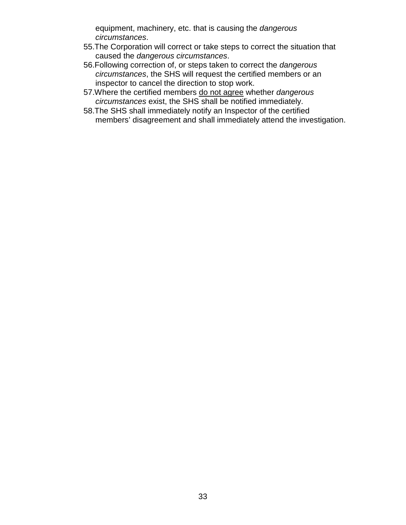equipment, machinery, etc. that is causing the *dangerous circumstances*.

- 55.The Corporation will correct or take steps to correct the situation that caused the *dangerous circumstances*.
- 56.Following correction of, or steps taken to correct the *dangerous circumstances*, the SHS will request the certified members or an inspector to cancel the direction to stop work.
- 57.Where the certified members do not agree whether *dangerous circumstances* exist, the SHS shall be notified immediately.
- 58.The SHS shall immediately notify an Inspector of the certified members' disagreement and shall immediately attend the investigation.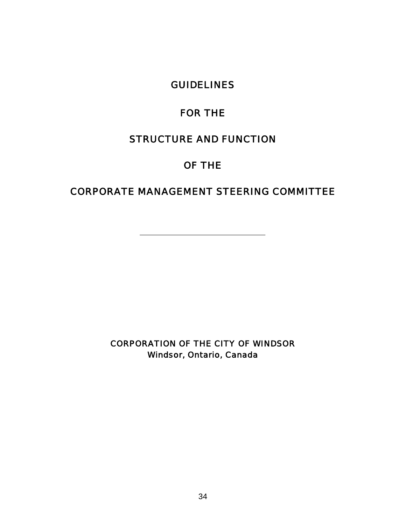## GUIDELINES

## FOR THE

## STRUCTURE AND FUNCTION

## OF THE

## CORPORATE MANAGEMENT STEERING COMMITTEE

CORPORATION OF THE CITY OF WINDSOR

Windsor, Ontario, Canada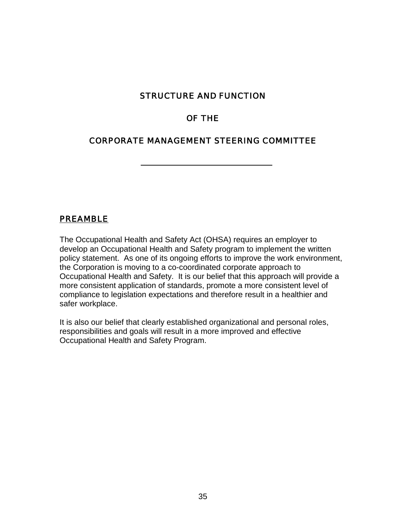## STRUCTURE AND FUNCTION

## OF THE

## CORPORATE MANAGEMENT STEERING COMMITTEE

 $\overline{a}$ 

## PREAMBLE

The Occupational Health and Safety Act (OHSA) requires an employer to develop an Occupational Health and Safety program to implement the written policy statement. As one of its ongoing efforts to improve the work environment, the Corporation is moving to a co-coordinated corporate approach to Occupational Health and Safety. It is our belief that this approach will provide a more consistent application of standards, promote a more consistent level of compliance to legislation expectations and therefore result in a healthier and safer workplace.

It is also our belief that clearly established organizational and personal roles, responsibilities and goals will result in a more improved and effective Occupational Health and Safety Program.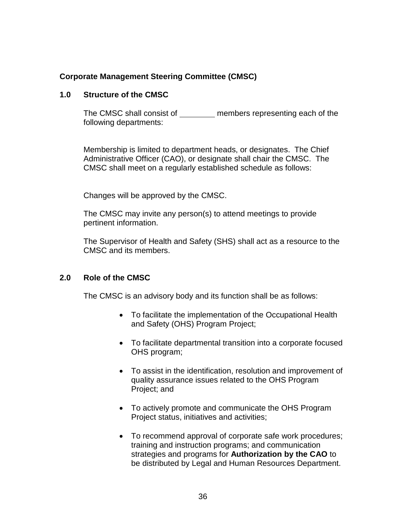### **Corporate Management Steering Committee (CMSC)**

#### **1.0 Structure of the CMSC**

The CMSC shall consist of members representing each of the following departments:

Membership is limited to department heads, or designates. The Chief Administrative Officer (CAO), or designate shall chair the CMSC. The CMSC shall meet on a regularly established schedule as follows:

Changes will be approved by the CMSC.

The CMSC may invite any person(s) to attend meetings to provide pertinent information.

The Supervisor of Health and Safety (SHS) shall act as a resource to the CMSC and its members.

#### **2.0 Role of the CMSC**

The CMSC is an advisory body and its function shall be as follows:

- To facilitate the implementation of the Occupational Health and Safety (OHS) Program Project;
- To facilitate departmental transition into a corporate focused OHS program;
- To assist in the identification, resolution and improvement of quality assurance issues related to the OHS Program Project; and
- To actively promote and communicate the OHS Program Project status, initiatives and activities;
- To recommend approval of corporate safe work procedures; training and instruction programs; and communication strategies and programs for **Authorization by the CAO** to be distributed by Legal and Human Resources Department.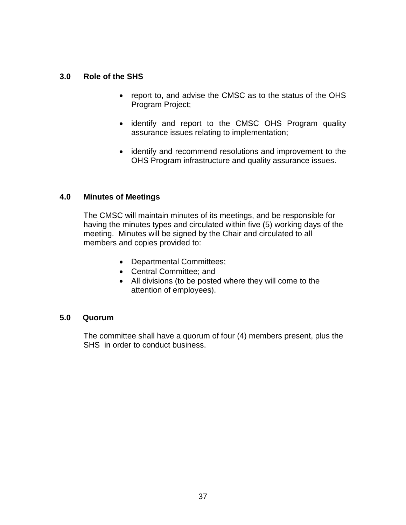### **3.0 Role of the SHS**

- report to, and advise the CMSC as to the status of the OHS Program Project;
- identify and report to the CMSC OHS Program quality assurance issues relating to implementation;
- identify and recommend resolutions and improvement to the OHS Program infrastructure and quality assurance issues.

### **4.0 Minutes of Meetings**

The CMSC will maintain minutes of its meetings, and be responsible for having the minutes types and circulated within five (5) working days of the meeting. Minutes will be signed by the Chair and circulated to all members and copies provided to:

- Departmental Committees;
- Central Committee; and
- All divisions (to be posted where they will come to the attention of employees).

### **5.0 Quorum**

The committee shall have a quorum of four (4) members present, plus the SHS in order to conduct business.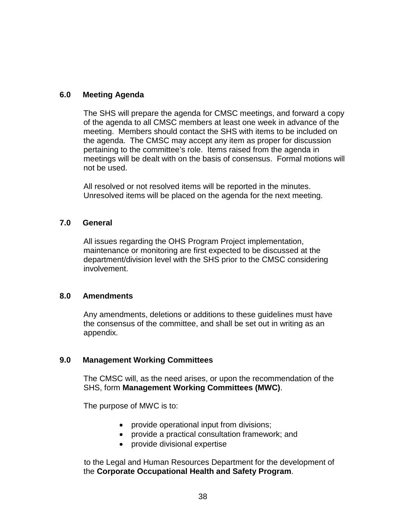#### **6.0 Meeting Agenda**

The SHS will prepare the agenda for CMSC meetings, and forward a copy of the agenda to all CMSC members at least one week in advance of the meeting. Members should contact the SHS with items to be included on the agenda. The CMSC may accept any item as proper for discussion pertaining to the committee's role. Items raised from the agenda in meetings will be dealt with on the basis of consensus. Formal motions will not be used.

All resolved or not resolved items will be reported in the minutes. Unresolved items will be placed on the agenda for the next meeting.

#### **7.0 General**

All issues regarding the OHS Program Project implementation, maintenance or monitoring are first expected to be discussed at the department/division level with the SHS prior to the CMSC considering involvement.

#### **8.0 Amendments**

Any amendments, deletions or additions to these guidelines must have the consensus of the committee, and shall be set out in writing as an appendix.

## **9.0 Management Working Committees**

The CMSC will, as the need arises, or upon the recommendation of the SHS, form **Management Working Committees (MWC)**.

The purpose of MWC is to:

- provide operational input from divisions;
- provide a practical consultation framework; and
- provide divisional expertise

 to the Legal and Human Resources Department for the development of the **Corporate Occupational Health and Safety Program**.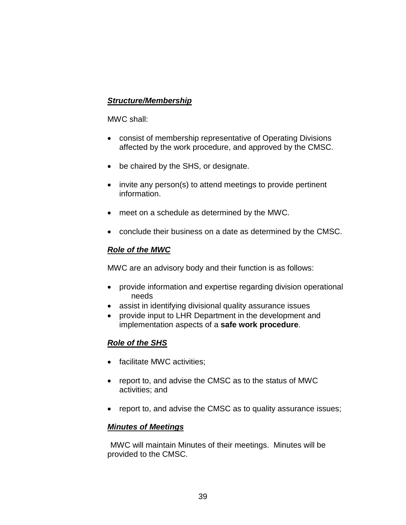## *Structure/Membership*

MWC shall:

- consist of membership representative of Operating Divisions affected by the work procedure, and approved by the CMSC.
- be chaired by the SHS, or designate.
- invite any person(s) to attend meetings to provide pertinent information.
- meet on a schedule as determined by the MWC.
- conclude their business on a date as determined by the CMSC.

### *Role of the MWC*

MWC are an advisory body and their function is as follows:

- provide information and expertise regarding division operational needs
- assist in identifying divisional quality assurance issues
- provide input to LHR Department in the development and implementation aspects of a **safe work procedure**.

## *Role of the SHS*

- facilitate MWC activities;
- report to, and advise the CMSC as to the status of MWC activities; and
- report to, and advise the CMSC as to quality assurance issues;

## *Minutes of Meetings*

MWC will maintain Minutes of their meetings. Minutes will be provided to the CMSC.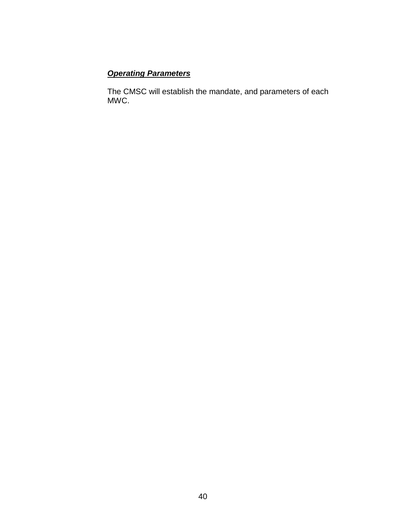## *Operating Parameters*

The CMSC will establish the mandate, and parameters of each MWC.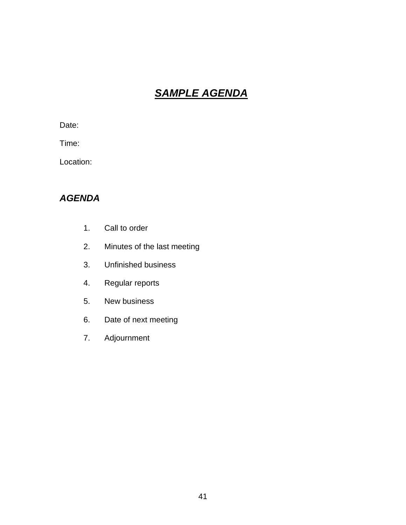## *SAMPLE AGENDA*

Date:

Time:

Location:

## *AGENDA*

- 1. Call to order
- 2. Minutes of the last meeting
- 3. Unfinished business
- 4. Regular reports
- 5. New business
- 6. Date of next meeting
- 7. Adjournment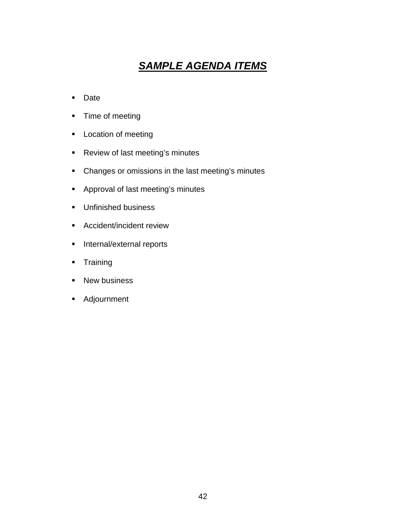## *SAMPLE AGENDA ITEMS*

- **Date**
- Time of meeting
- **Location of meeting**
- **Review of last meeting's minutes**
- Changes or omissions in the last meeting's minutes
- **Approval of last meeting's minutes**
- **Unfinished business**
- Accident/incident review
- **Internal/external reports**
- **Training**
- **New business**
- Adjournment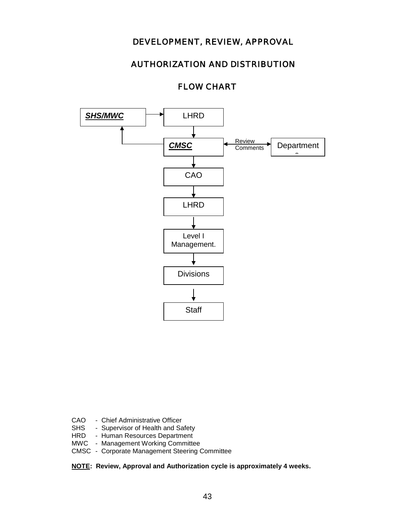### DEVELOPMENT, REVIEW, APPROVAL

## AUTHORIZATION AND DISTRIBUTION

## FLOW CHART



- CAO Chief Administrative Officer
- SHS Supervisor of Health and Safety
- HRD Human Resources Department
- MWC Management Working Committee
- CMSC Corporate Management Steering Committee

**NOTE: Review, Approval and Authorization cycle is approximately 4 weeks.**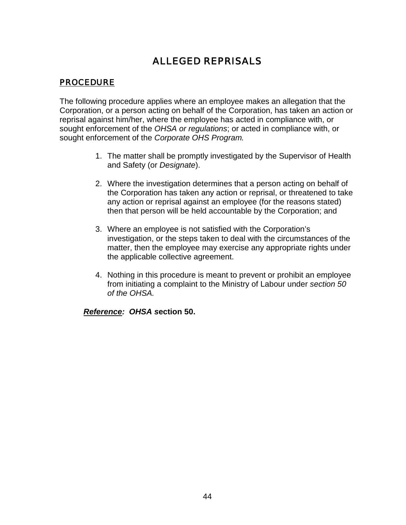## ALLEGED REPRISALS

## PROCEDURE

The following procedure applies where an employee makes an allegation that the Corporation, or a person acting on behalf of the Corporation, has taken an action or reprisal against him/her, where the employee has acted in compliance with, or sought enforcement of the *OHSA or regulations*; or acted in compliance with, or sought enforcement of the *Corporate OHS Program.*

- 1. The matter shall be promptly investigated by the Supervisor of Health and Safety (or *Designate*).
- 2. Where the investigation determines that a person acting on behalf of the Corporation has taken any action or reprisal, or threatened to take any action or reprisal against an employee (for the reasons stated) then that person will be held accountable by the Corporation; and
- 3. Where an employee is not satisfied with the Corporation's investigation, or the steps taken to deal with the circumstances of the matter, then the employee may exercise any appropriate rights under the applicable collective agreement.
- 4. Nothing in this procedure is meant to prevent or prohibit an employee from initiating a complaint to the Ministry of Labour under *section 50 of the OHSA.*

*Reference: OHSA s***ection 50.**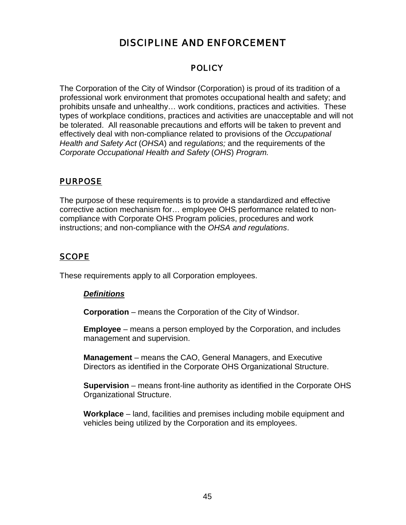## DISCIPLINE AND ENFORCEMENT

## **POLICY**

The Corporation of the City of Windsor (Corporation) is proud of its tradition of a professional work environment that promotes occupational health and safety; and prohibits unsafe and unhealthy… work conditions, practices and activities. These types of workplace conditions, practices and activities are unacceptable and will not be tolerated. All reasonable precautions and efforts will be taken to prevent and effectively deal with non-compliance related to provisions of the *Occupational Health and Safety Act* (*OHSA*) and r*egulations;* and the requirements of the *Corporate Occupational Health and Safety* (*OHS*) *Program.*

## PURPOSE

The purpose of these requirements is to provide a standardized and effective corrective action mechanism for… employee OHS performance related to noncompliance with Corporate OHS Program policies, procedures and work instructions; and non-compliance with the *OHSA and regulations*.

## SCOPE

These requirements apply to all Corporation employees.

## *Definitions*

**Corporation** – means the Corporation of the City of Windsor.

**Employee** – means a person employed by the Corporation, and includes management and supervision.

**Management** – means the CAO, General Managers, and Executive Directors as identified in the Corporate OHS Organizational Structure.

**Supervision** – means front-line authority as identified in the Corporate OHS Organizational Structure.

**Workplace** – land, facilities and premises including mobile equipment and vehicles being utilized by the Corporation and its employees.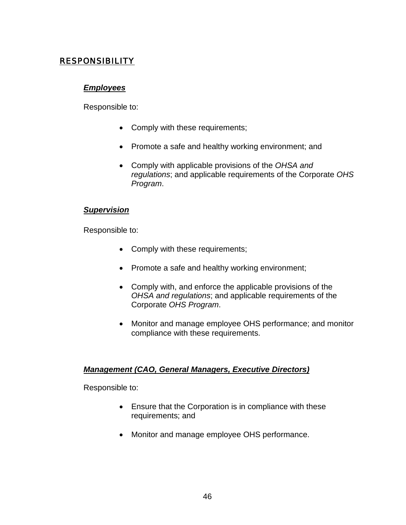## RESPONSIBILITY

#### *Employees*

Responsible to:

- Comply with these requirements;
- Promote a safe and healthy working environment; and
- Comply with applicable provisions of the *OHSA and regulations*; and applicable requirements of the Corporate *OHS Program*.

### *Supervision*

Responsible to:

- Comply with these requirements;
- Promote a safe and healthy working environment;
- Comply with, and enforce the applicable provisions of the *OHSA and regulations*; and applicable requirements of the Corporate *OHS Program*.
- Monitor and manage employee OHS performance; and monitor compliance with these requirements.

## *Management (CAO, General Managers, Executive Directors)*

Responsible to:

- Ensure that the Corporation is in compliance with these requirements; and
- Monitor and manage employee OHS performance.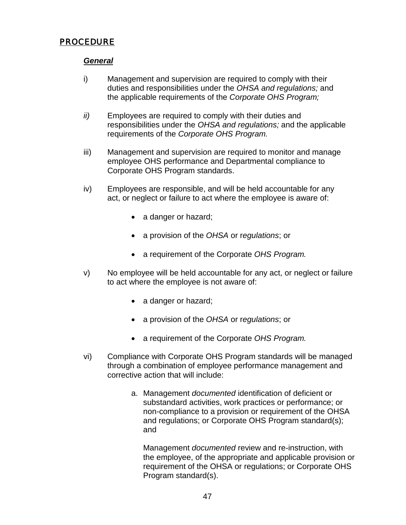## PROCEDURE

#### *General*

- i) Management and supervision are required to comply with their duties and responsibilities under the *OHSA and regulations;* and the applicable requirements of the *Corporate OHS Program;*
- *ii)* Employees are required to comply with their duties and responsibilities under the *OHSA and regulations;* and the applicable requirements of the *Corporate OHS Program.*
- iii) Management and supervision are required to monitor and manage employee OHS performance and Departmental compliance to Corporate OHS Program standards.
- iv) Employees are responsible, and will be held accountable for any act, or neglect or failure to act where the employee is aware of:
	- a danger or hazard;
	- a provision of the *OHSA* or r*egulations*; or
	- a requirement of the Corporate *OHS Program.*
- v) No employee will be held accountable for any act, or neglect or failure to act where the employee is not aware of:
	- a danger or hazard;
	- a provision of the *OHSA* or r*egulations*; or
	- a requirement of the Corporate *OHS Program.*
- vi) Compliance with Corporate OHS Program standards will be managed through a combination of employee performance management and corrective action that will include:
	- a. Management *documented* identification of deficient or substandard activities, work practices or performance; or non-compliance to a provision or requirement of the OHSA and regulations; or Corporate OHS Program standard(s); and

Management *documented* review and re-instruction, with the employee, of the appropriate and applicable provision or requirement of the OHSA or regulations; or Corporate OHS Program standard(s).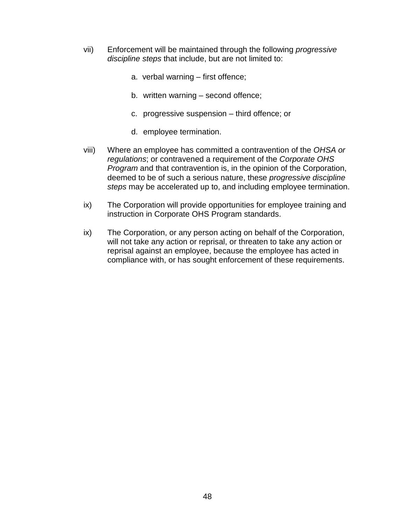- vii) Enforcement will be maintained through the following *progressive discipline steps* that include, but are not limited to:
	- a. verbal warning first offence;
	- b. written warning second offence;
	- c. progressive suspension third offence; or
	- d. employee termination.
- viii) Where an employee has committed a contravention of the *OHSA or regulations*; or contravened a requirement of the *Corporate OHS Program* and that contravention is, in the opinion of the Corporation, deemed to be of such a serious nature, these *progressive discipline steps* may be accelerated up to, and including employee termination.
- ix) The Corporation will provide opportunities for employee training and instruction in Corporate OHS Program standards.
- ix) The Corporation, or any person acting on behalf of the Corporation, will not take any action or reprisal, or threaten to take any action or reprisal against an employee, because the employee has acted in compliance with, or has sought enforcement of these requirements.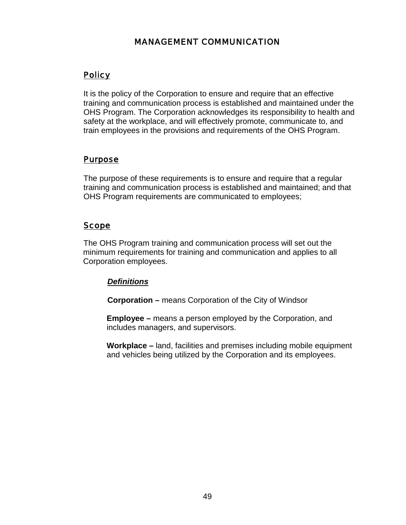## MANAGEMENT COMMUNICATION

## **Policy**

It is the policy of the Corporation to ensure and require that an effective training and communication process is established and maintained under the OHS Program. The Corporation acknowledges its responsibility to health and safety at the workplace, and will effectively promote, communicate to, and train employees in the provisions and requirements of the OHS Program.

## **Purpose**

The purpose of these requirements is to ensure and require that a regular training and communication process is established and maintained; and that OHS Program requirements are communicated to employees;

## Scope

The OHS Program training and communication process will set out the minimum requirements for training and communication and applies to all Corporation employees.

## *Definitions*

**Corporation –** means Corporation of the City of Windsor

**Employee –** means a person employed by the Corporation, and includes managers, and supervisors.

**Workplace –** land, facilities and premises including mobile equipment and vehicles being utilized by the Corporation and its employees.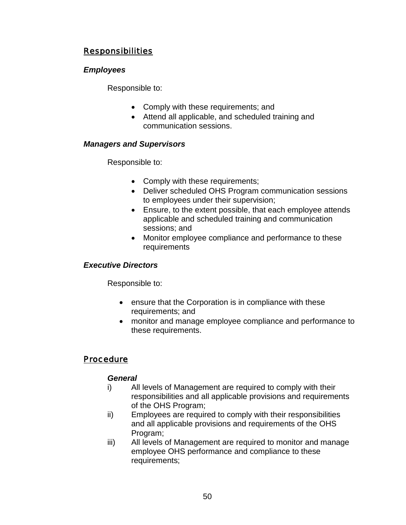## Responsibilities

### *Employees*

Responsible to:

- Comply with these requirements; and
- Attend all applicable, and scheduled training and communication sessions.

### *Managers and Supervisors*

Responsible to:

- Comply with these requirements;
- Deliver scheduled OHS Program communication sessions to employees under their supervision;
- Ensure, to the extent possible, that each employee attends applicable and scheduled training and communication sessions; and
- Monitor employee compliance and performance to these requirements

### *Executive Directors*

Responsible to:

- ensure that the Corporation is in compliance with these requirements; and
- monitor and manage employee compliance and performance to these requirements.

## Procedure

## *General*

- i) All levels of Management are required to comply with their responsibilities and all applicable provisions and requirements of the OHS Program;
- ii) Employees are required to comply with their responsibilities and all applicable provisions and requirements of the OHS Program;
- iii) All levels of Management are required to monitor and manage employee OHS performance and compliance to these requirements;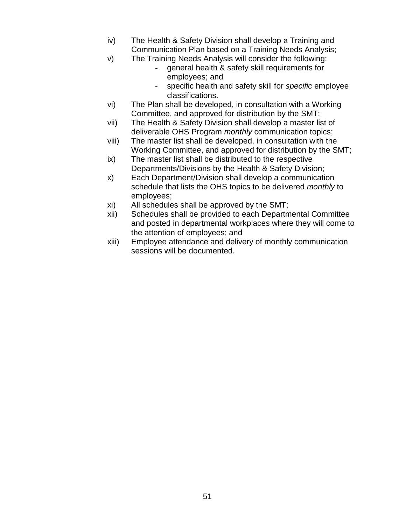- iv) The Health & Safety Division shall develop a Training and Communication Plan based on a Training Needs Analysis;
- v) The Training Needs Analysis will consider the following:
	- general health & safety skill requirements for employees; and
	- specific health and safety skill for *specific* employee classifications.
- vi) The Plan shall be developed, in consultation with a Working Committee, and approved for distribution by the SMT;
- vii) The Health & Safety Division shall develop a master list of deliverable OHS Program *monthly* communication topics;
- viii) The master list shall be developed, in consultation with the Working Committee, and approved for distribution by the SMT;
- ix) The master list shall be distributed to the respective Departments/Divisions by the Health & Safety Division;
- x) Each Department/Division shall develop a communication schedule that lists the OHS topics to be delivered *monthly* to employees;
- xi) All schedules shall be approved by the SMT;
- xii) Schedules shall be provided to each Departmental Committee and posted in departmental workplaces where they will come to the attention of employees; and
- xiii) Employee attendance and delivery of monthly communication sessions will be documented.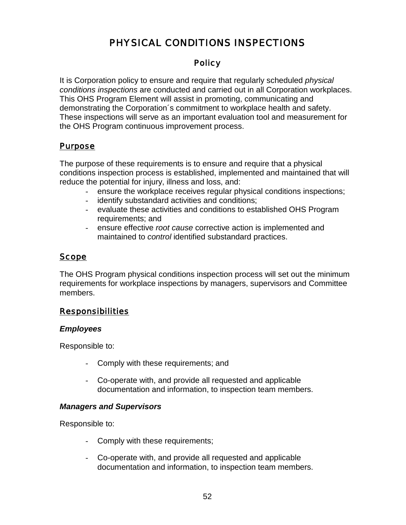## PHYSICAL CONDITIONS INSPECTIONS

## **Policy**

It is Corporation policy to ensure and require that regularly scheduled *physical conditions inspections* are conducted and carried out in all Corporation workplaces. This OHS Program Element will assist in promoting, communicating and demonstrating the Corporation´s commitment to workplace health and safety. These inspections will serve as an important evaluation tool and measurement for the OHS Program continuous improvement process.

## **Purpose**

The purpose of these requirements is to ensure and require that a physical conditions inspection process is established, implemented and maintained that will reduce the potential for injury, illness and loss, and:

- ensure the workplace receives regular physical conditions inspections;
- identify substandard activities and conditions;
- evaluate these activities and conditions to established OHS Program requirements; and
- ensure effective *root cause* corrective action is implemented and maintained to *control* identified substandard practices.

## **Scope**

The OHS Program physical conditions inspection process will set out the minimum requirements for workplace inspections by managers, supervisors and Committee members.

## Responsibilities

#### *Employees*

Responsible to:

- Comply with these requirements; and
- Co-operate with, and provide all requested and applicable documentation and information, to inspection team members.

## *Managers and Supervisors*

Responsible to:

- Comply with these requirements;
- Co-operate with, and provide all requested and applicable documentation and information, to inspection team members.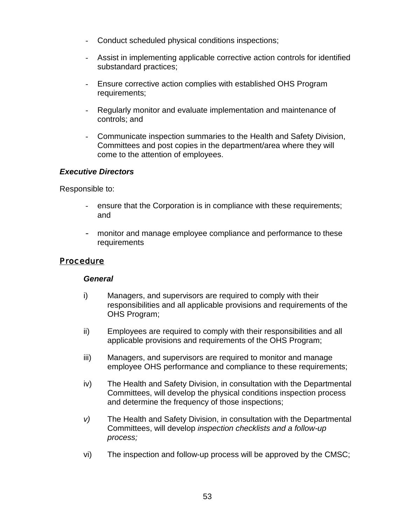- Conduct scheduled physical conditions inspections;
- Assist in implementing applicable corrective action controls for identified substandard practices;
- Ensure corrective action complies with established OHS Program requirements;
- Regularly monitor and evaluate implementation and maintenance of controls; and
- Communicate inspection summaries to the Health and Safety Division, Committees and post copies in the department/area where they will come to the attention of employees.

## *Executive Directors*

Responsible to:

- ensure that the Corporation is in compliance with these requirements; and
- monitor and manage employee compliance and performance to these requirements

## Procedure

#### *General*

- i) Managers, and supervisors are required to comply with their responsibilities and all applicable provisions and requirements of the OHS Program;
- ii) Employees are required to comply with their responsibilities and all applicable provisions and requirements of the OHS Program;
- iii) Managers, and supervisors are required to monitor and manage employee OHS performance and compliance to these requirements;
- iv) The Health and Safety Division, in consultation with the Departmental Committees, will develop the physical conditions inspection process and determine the frequency of those inspections;
- *v)* The Health and Safety Division, in consultation with the Departmental Committees, will develop *inspection checklists and a follow-up process;*
- vi) The inspection and follow-up process will be approved by the CMSC;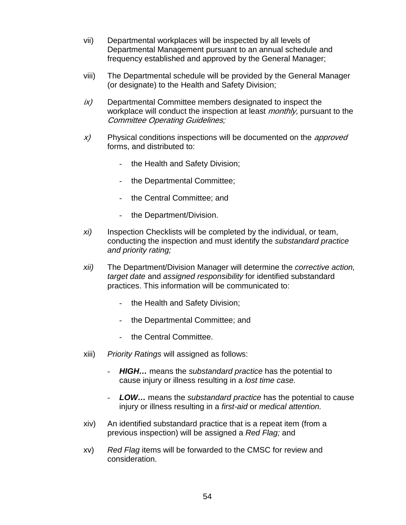- vii) Departmental workplaces will be inspected by all levels of Departmental Management pursuant to an annual schedule and frequency established and approved by the General Manager;
- viii) The Departmental schedule will be provided by the General Manager (or designate) to the Health and Safety Division;
- $ix$ ) Departmental Committee members designated to inspect the workplace will conduct the inspection at least *monthly*, pursuant to the Committee Operating Guidelines;
- x) Physical conditions inspections will be documented on the *approved* forms, and distributed to:
	- the Health and Safety Division;
	- the Departmental Committee;
	- the Central Committee; and
	- the Department/Division.
- *xi)* Inspection Checklists will be completed by the individual, or team, conducting the inspection and must identify the *substandard practice and priority rating;*
- *xii)* The Department/Division Manager will determine the *corrective action, target date* and *assigned responsibility* for identified substandard practices. This information will be communicated to:
	- the Health and Safety Division;
	- the Departmental Committee; and
	- the Central Committee.
- xiii) *Priority Ratings* will assigned as follows:
	- **HIGH...** means the *substandard practice* has the potential to cause injury or illness resulting in a *lost time case.*
	- *LOW...* means the *substandard practice* has the potential to cause injury or illness resulting in a *first-aid* or *medical attention.*
- xiv) An identified substandard practice that is a repeat item (from a previous inspection) will be assigned a *Red Flag;* and
- xv) *Red Flag* items will be forwarded to the CMSC for review and consideration.